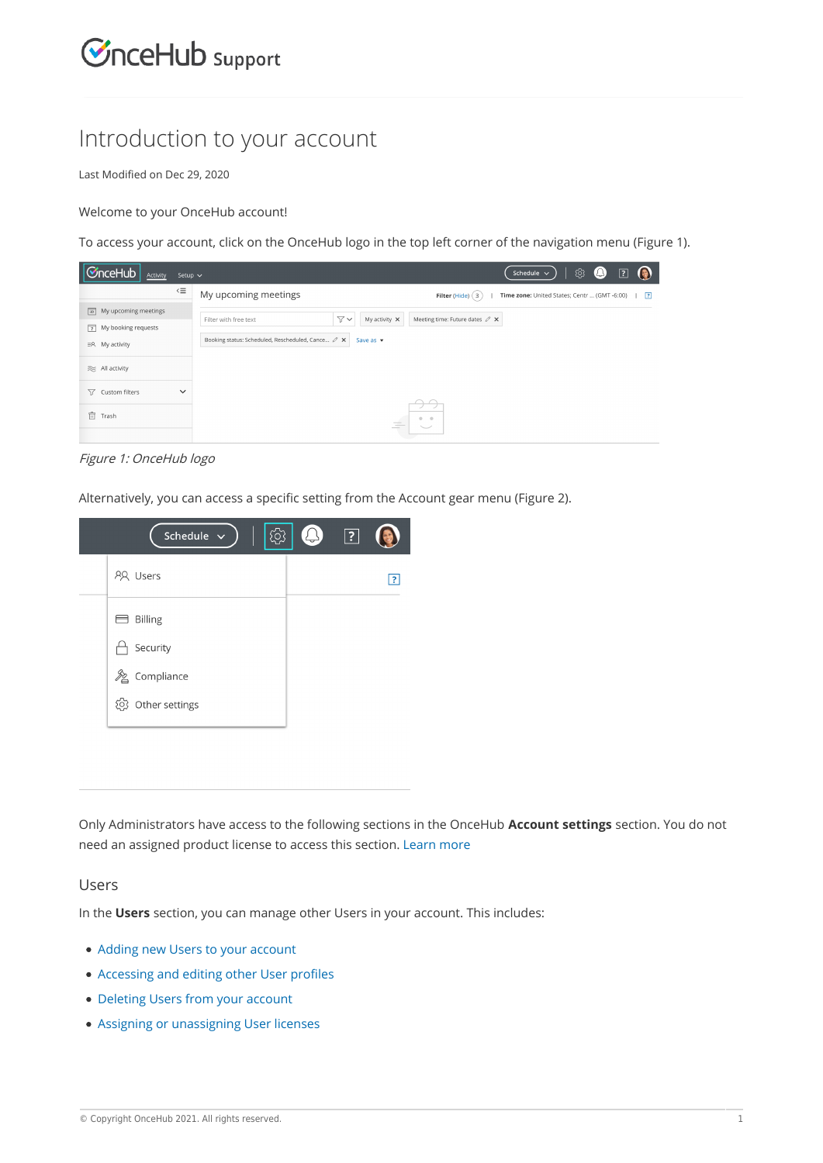# $\mathcal{\mathcal{G}}$ nceHub support

# Introduction to your account

Last Modified on Dec 29, 2020

#### Welcome to your OnceHub account!

To access your account, click on the OnceHub logo in the top left corner of the navigation menu (Figure 1).



#### Figure 1: OnceHub logo

Alternatively, you can access a specific setting from the Account gear menu (Figure 2).



Only Administrators have access to the following sections in the OnceHub **Account settings** section. You do not need an assigned product license to access this section. Learn more

#### Users

In the **Users** section, you can manage other Users in your account. This includes:

- Adding new Users to your account
- Accessing and editing other User profiles
- Deleting Users from your account
- Assigning or unassigning User licenses